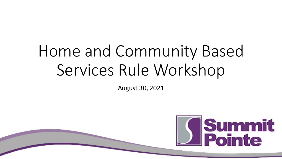# Home and Community Based Services Rule Workshop

August 30, 2021

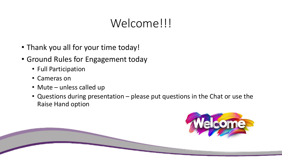# Welcome!!!

- Thank you all for your time today!
- Ground Rules for Engagement today
	- Full Participation
	- Cameras on
	- Mute unless called up
	- Questions during presentation please put questions in the Chat or use the Raise Hand option

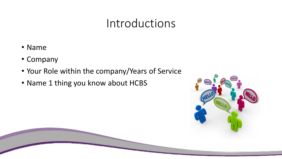#### Introductions

- Name
- Company
- Your Role within the company/Years of Service
- Name 1 thing you know about HCBS

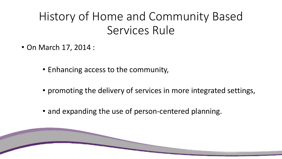# History of Home and Community Based Services Rule

- On March 17, 2014 :
	- Enhancing access to the community,
	- promoting the delivery of services in more integrated settings,
	- and expanding the use of person-centered planning.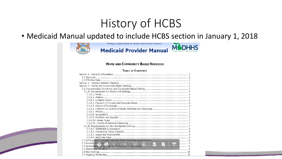# History of HCBS

• Medicaid Manual updated to include HCBS section in January 1, 2018



Michigan Department of Health and Human Services



#### **HOME AND COMMUNITY BASED SERVICES**

#### **TABLE OF CONTENTS**

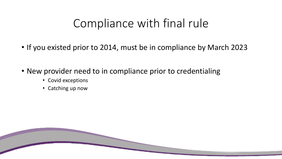# Compliance with final rule

- If you existed prior to 2014, must be in compliance by March 2023
- New provider need to in compliance prior to credentialing
	- Covid exceptions
	- Catching up now

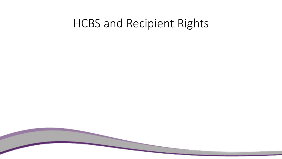#### HCBS and Recipient Rights

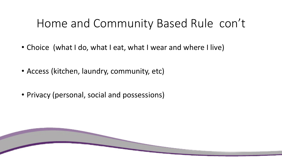# Home and Community Based Rule con't

- Choice (what I do, what I eat, what I wear and where I live)
- Access (kitchen, laundry, community, etc)
- Privacy (personal, social and possessions)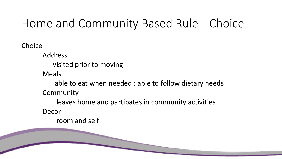# Home and Community Based Rule-- Choice

Choice

Address

visited prior to moving

Meals

able to eat when needed ; able to follow dietary needs Community

leaves home and partipates in community activities Décor

room and self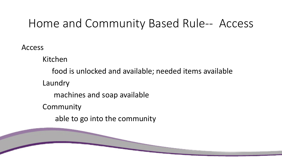### Home and Community Based Rule-- Access

Access

Kitchen

food is unlocked and available; needed items available Laundry machines and soap available Community able to go into the community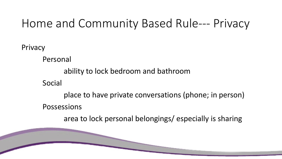# Home and Community Based Rule--- Privacy

Privacy

Personal

ability to lock bedroom and bathroom

Social

place to have private conversations (phone; in person) Possessions

area to lock personal belongings/ especially is sharing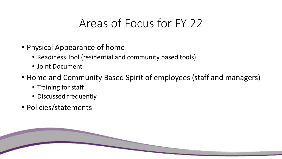# Areas of Focus for FY 22

- Physical Appearance of home
	- Readiness Tool (residential and community based tools)
	- Joint Document
- Home and Community Based Spirit of employees (staff and managers)
	- Training for staff
	- Discussed frequently
- Policies/statements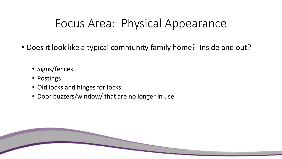# Focus Area: Physical Appearance

- Does it look like a typical community family home? Inside and out?
	- Signs/fences
	- Postings
	- Old locks and hinges for locks
	- Door buzzers/window/ that are no longer in use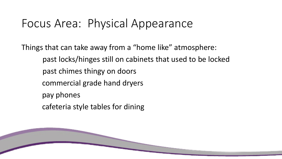## Focus Area: Physical Appearance

Things that can take away from a "home like" atmosphere: past locks/hinges still on cabinets that used to be locked past chimes thingy on doors commercial grade hand dryers pay phones cafeteria style tables for dining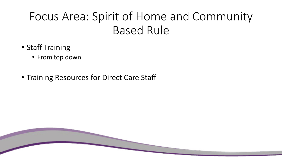# Focus Area: Spirit of Home and Community Based Rule

- Staff Training
	- From top down
- Training Resources for Direct Care Staff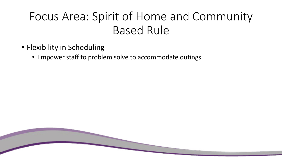# Focus Area: Spirit of Home and Community Based Rule

- Flexibility in Scheduling
	- Empower staff to problem solve to accommodate outings

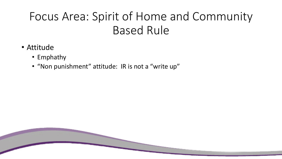# Focus Area: Spirit of Home and Community Based Rule

- Attitude
	- Emphathy
	- "Non punishment" attitude: IR is not a "write up"

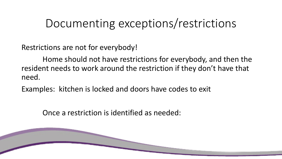## Documenting exceptions/restrictions

Restrictions are not for everybody!

Home should not have restrictions for everybody, and then the resident needs to work around the restriction if they don't have that need.

Examples: kitchen is locked and doors have codes to exit

Once a restriction is identified as needed: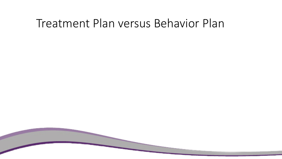#### Treatment Plan versus Behavior Plan

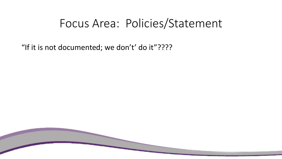#### Focus Area: Policies/Statement

"If it is not documented; we don't' do it"????

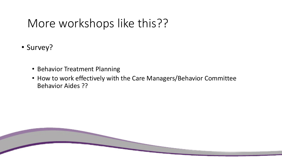# More workshops like this??

- Survey?
	- Behavior Treatment Planning
	- How to work effectively with the Care Managers/Behavior Committee Behavior Aides ??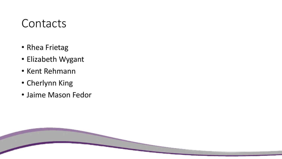#### Contacts

- Rhea Frietag
- Elizabeth Wygant
- Kent Rehmann
- Cherlynn King
- Jaime Mason Fedor